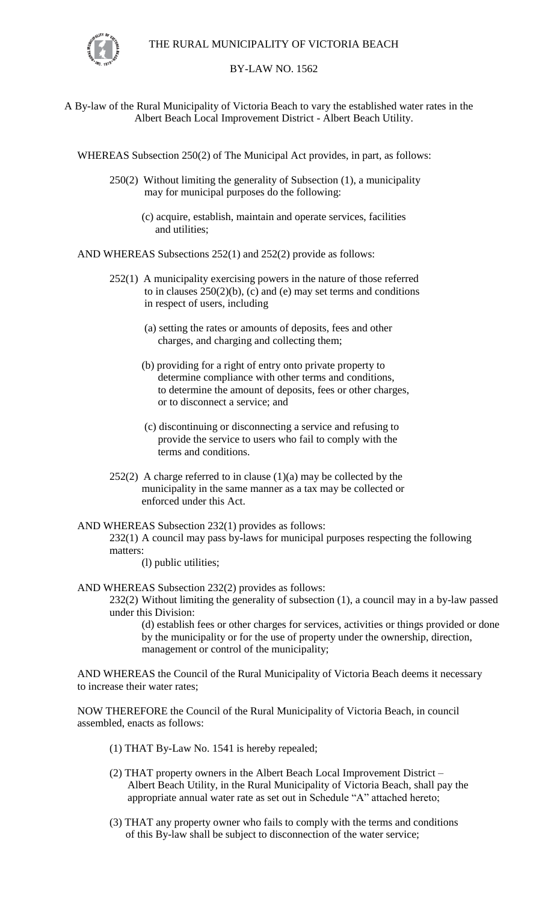

## BY-LAW NO. 1562

A By-law of the Rural Municipality of Victoria Beach to vary the established water rates in the Albert Beach Local Improvement District - Albert Beach Utility.

WHEREAS Subsection 250(2) of The Municipal Act provides, in part, as follows:

- 250(2) Without limiting the generality of Subsection (1), a municipality may for municipal purposes do the following:
	- (c) acquire, establish, maintain and operate services, facilities and utilities;

AND WHEREAS Subsections 252(1) and 252(2) provide as follows:

- 252(1) A municipality exercising powers in the nature of those referred to in clauses  $250(2)(b)$ , (c) and (e) may set terms and conditions in respect of users, including
	- (a) setting the rates or amounts of deposits, fees and other charges, and charging and collecting them;
	- (b) providing for a right of entry onto private property to determine compliance with other terms and conditions, to determine the amount of deposits, fees or other charges, or to disconnect a service; and
	- (c) discontinuing or disconnecting a service and refusing to provide the service to users who fail to comply with the terms and conditions.
- $252(2)$  A charge referred to in clause  $(1)(a)$  may be collected by the municipality in the same manner as a tax may be collected or enforced under this Act.
- AND WHEREAS Subsection 232(1) provides as follows: 232(1) A council may pass by-laws for municipal purposes respecting the following matters:

(l) public utilities;

AND WHEREAS Subsection 232(2) provides as follows:

232(2) Without limiting the generality of subsection (1), a council may in a by-law passed under this Division:

(d) establish fees or other charges for services, activities or things provided or done by the municipality or for the use of property under the ownership, direction, management or control of the municipality;

AND WHEREAS the Council of the Rural Municipality of Victoria Beach deems it necessary to increase their water rates;

NOW THEREFORE the Council of the Rural Municipality of Victoria Beach, in council assembled, enacts as follows:

- (1) THAT By-Law No. 1541 is hereby repealed;
- (2) THAT property owners in the Albert Beach Local Improvement District Albert Beach Utility, in the Rural Municipality of Victoria Beach, shall pay the appropriate annual water rate as set out in Schedule "A" attached hereto;
- (3) THAT any property owner who fails to comply with the terms and conditions of this By-law shall be subject to disconnection of the water service;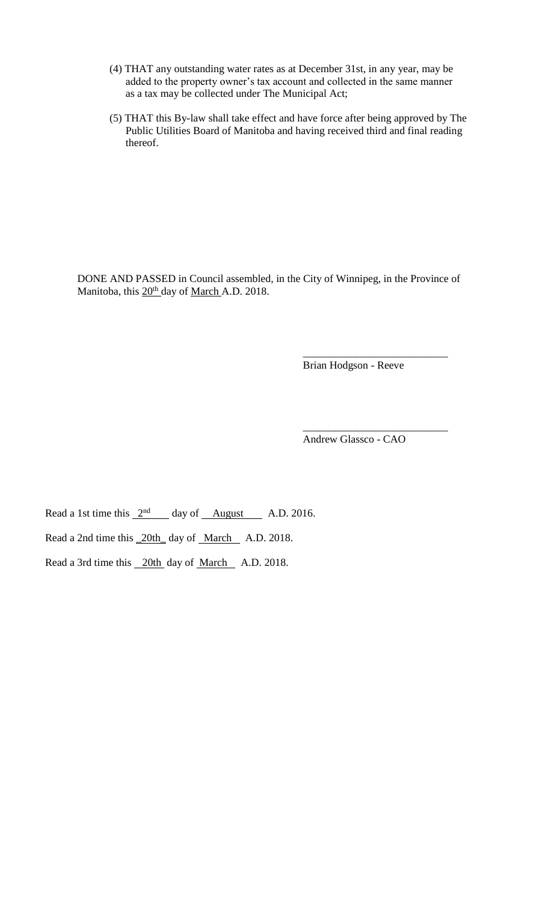- (4) THAT any outstanding water rates as at December 31st, in any year, may be added to the property owner's tax account and collected in the same manner as a tax may be collected under The Municipal Act;
- (5) THAT this By-law shall take effect and have force after being approved by The Public Utilities Board of Manitoba and having received third and final reading thereof.

DONE AND PASSED in Council assembled, in the City of Winnipeg, in the Province of Manitoba, this  $20<sup>th</sup>$  day of March A.D. 2018.

Brian Hodgson - Reeve

\_\_\_\_\_\_\_\_\_\_\_\_\_\_\_\_\_\_\_\_\_\_\_\_\_\_\_

\_\_\_\_\_\_\_\_\_\_\_\_\_\_\_\_\_\_\_\_\_\_\_\_\_\_\_

Andrew Glassco - CAO

Read a 1st time this  $2<sup>nd</sup>$  day of August A.D. 2016.

Read a 2nd time this 20th\_day of March A.D. 2018.

Read a 3rd time this 20th day of March A.D. 2018.